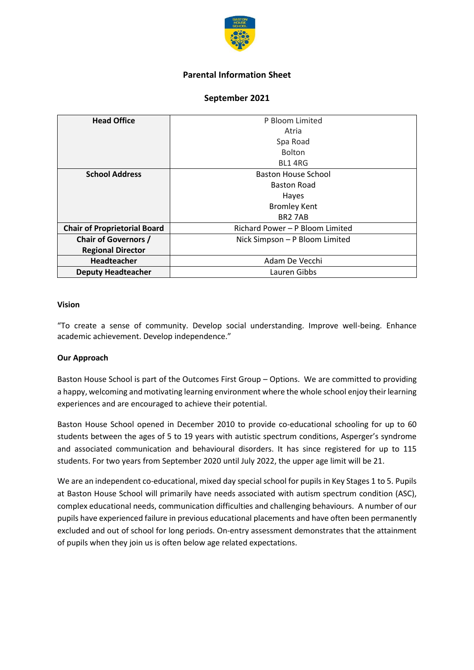

# **Parental Information Sheet**

## **September 2021**

| <b>Head Office</b>                  | P Bloom Limited                 |  |  |
|-------------------------------------|---------------------------------|--|--|
|                                     | Atria                           |  |  |
|                                     | Spa Road                        |  |  |
|                                     | <b>Bolton</b>                   |  |  |
|                                     | <b>BL1 4RG</b>                  |  |  |
| <b>School Address</b>               | <b>Baston House School</b>      |  |  |
|                                     | <b>Baston Road</b>              |  |  |
|                                     | Hayes                           |  |  |
|                                     | <b>Bromley Kent</b>             |  |  |
|                                     | <b>BR27AB</b>                   |  |  |
| <b>Chair of Proprietorial Board</b> | Richard Power - P Bloom Limited |  |  |
| <b>Chair of Governors /</b>         | Nick Simpson - P Bloom Limited  |  |  |
| <b>Regional Director</b>            |                                 |  |  |
| Headteacher                         | Adam De Vecchi                  |  |  |
| <b>Deputy Headteacher</b>           | Lauren Gibbs                    |  |  |

#### **Vision**

"To create a sense of community. Develop social understanding. Improve well-being. Enhance academic achievement. Develop independence."

#### **Our Approach**

Baston House School is part of the Outcomes First Group – Options. We are committed to providing a happy, welcoming and motivating learning environment where the whole school enjoy their learning experiences and are encouraged to achieve their potential.

Baston House School opened in December 2010 to provide co-educational schooling for up to 60 students between the ages of 5 to 19 years with autistic spectrum conditions, Asperger's syndrome and associated communication and behavioural disorders. It has since registered for up to 115 students. For two years from September 2020 until July 2022, the upper age limit will be 21.

We are an independent co-educational, mixed day special school for pupils in Key Stages 1 to 5. Pupils at Baston House School will primarily have needs associated with autism spectrum condition (ASC), complex educational needs, communication difficulties and challenging behaviours. A number of our pupils have experienced failure in previous educational placements and have often been permanently excluded and out of school for long periods. On-entry assessment demonstrates that the attainment of pupils when they join us is often below age related expectations.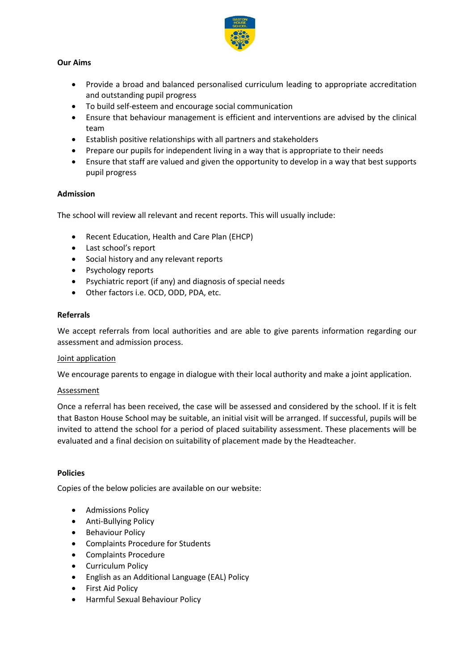

## **Our Aims**

- Provide a broad and balanced personalised curriculum leading to appropriate accreditation and outstanding pupil progress
- To build self-esteem and encourage social communication
- Ensure that behaviour management is efficient and interventions are advised by the clinical team
- Establish positive relationships with all partners and stakeholders
- Prepare our pupils for independent living in a way that is appropriate to their needs
- Ensure that staff are valued and given the opportunity to develop in a way that best supports pupil progress

### **Admission**

The school will review all relevant and recent reports. This will usually include:

- Recent Education, Health and Care Plan (EHCP)
- Last school's report
- Social history and any relevant reports
- Psychology reports
- Psychiatric report (if any) and diagnosis of special needs
- Other factors i.e. OCD, ODD, PDA, etc.

#### **Referrals**

We accept referrals from local authorities and are able to give parents information regarding our assessment and admission process.

#### Joint application

We encourage parents to engage in dialogue with their local authority and make a joint application.

#### Assessment

Once a referral has been received, the case will be assessed and considered by the school. If it is felt that Baston House School may be suitable, an initial visit will be arranged. If successful, pupils will be invited to attend the school for a period of placed suitability assessment. These placements will be evaluated and a final decision on suitability of placement made by the Headteacher.

#### **Policies**

Copies of the below policies are available on our website:

- Admissions Policy
- Anti-Bullying Policy
- Behaviour Policy
- Complaints Procedure for Students
- Complaints Procedure
- Curriculum Policy
- English as an Additional Language (EAL) Policy
- First Aid Policy
- Harmful Sexual Behaviour Policy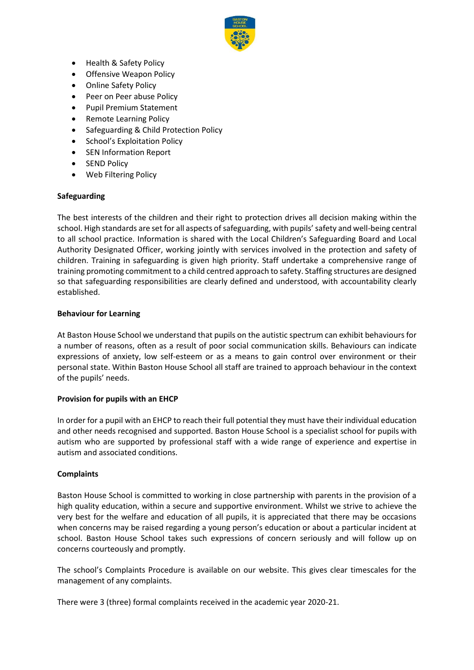

- Health & Safety Policy
- Offensive Weapon Policy
- Online Safety Policy
- Peer on Peer abuse Policy
- Pupil Premium Statement
- Remote Learning Policy
- Safeguarding & Child Protection Policy
- School's Exploitation Policy
- SEN Information Report
- **SEND Policy**
- Web Filtering Policy

### **Safeguarding**

The best interests of the children and their right to protection drives all decision making within the school. High standards are set for all aspects of safeguarding, with pupils' safety and well-being central to all school practice. Information is shared with the Local Children's Safeguarding Board and Local Authority Designated Officer, working jointly with services involved in the protection and safety of children. Training in safeguarding is given high priority. Staff undertake a comprehensive range of training promoting commitment to a child centred approach to safety. Staffing structures are designed so that safeguarding responsibilities are clearly defined and understood, with accountability clearly established.

### **Behaviour for Learning**

At Baston House School we understand that pupils on the autistic spectrum can exhibit behaviours for a number of reasons, often as a result of poor social communication skills. Behaviours can indicate expressions of anxiety, low self-esteem or as a means to gain control over environment or their personal state. Within Baston House School all staff are trained to approach behaviour in the context of the pupils' needs.

#### **Provision for pupils with an EHCP**

In order for a pupil with an EHCP to reach their full potential they must have their individual education and other needs recognised and supported. Baston House School is a specialist school for pupils with autism who are supported by professional staff with a wide range of experience and expertise in autism and associated conditions.

## **Complaints**

Baston House School is committed to working in close partnership with parents in the provision of a high quality education, within a secure and supportive environment. Whilst we strive to achieve the very best for the welfare and education of all pupils, it is appreciated that there may be occasions when concerns may be raised regarding a young person's education or about a particular incident at school. Baston House School takes such expressions of concern seriously and will follow up on concerns courteously and promptly.

The school's Complaints Procedure is available on our website. This gives clear timescales for the management of any complaints.

There were 3 (three) formal complaints received in the academic year 2020-21.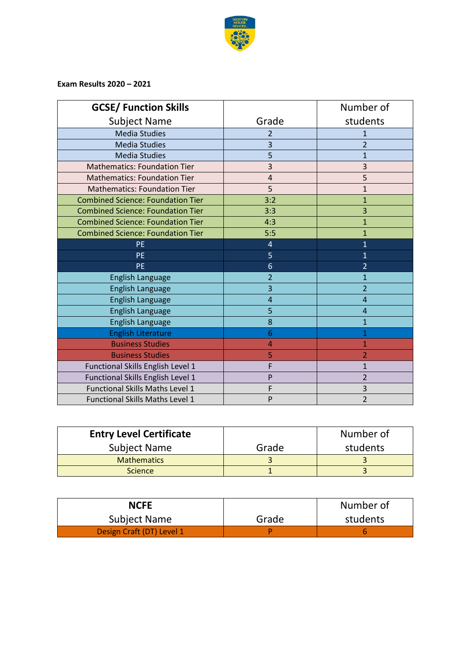

# **Exam Results 2020 – 2021**

| <b>GCSE/ Function Skills</b>             |                | Number of      |
|------------------------------------------|----------------|----------------|
| <b>Subject Name</b>                      | Grade          | students       |
| <b>Media Studies</b>                     | 2              | 1              |
| <b>Media Studies</b>                     | 3              | $\overline{2}$ |
| <b>Media Studies</b>                     | 5              | $\mathbf{1}$   |
| <b>Mathematics: Foundation Tier</b>      | 3              | 3              |
| <b>Mathematics: Foundation Tier</b>      | $\overline{4}$ | 5              |
| <b>Mathematics: Foundation Tier</b>      | 5              | $\mathbf{1}$   |
| <b>Combined Science: Foundation Tier</b> | 3:2            | $\mathbf{1}$   |
| <b>Combined Science: Foundation Tier</b> | 3:3            | 3              |
| <b>Combined Science: Foundation Tier</b> | 4:3            | $\overline{1}$ |
| <b>Combined Science: Foundation Tier</b> | 5:5            | $\overline{1}$ |
| <b>PE</b>                                | 4              | 1              |
| <b>PE</b>                                | 5              | $\mathbf{1}$   |
| PE.                                      | 6              | $\overline{2}$ |
| English Language                         | 2              | 1              |
| <b>English Language</b>                  | 3              | $\overline{2}$ |
| <b>English Language</b>                  | 4              | $\overline{4}$ |
| <b>English Language</b>                  | 5              | $\overline{4}$ |
| <b>English Language</b>                  | 8              | $\mathbf{1}$   |
| <b>English Literature</b>                | 6              | 1              |
| <b>Business Studies</b>                  | 4              | 1              |
| <b>Business Studies</b>                  | 5              | 2              |
| Functional Skills English Level 1        | F              | $\mathbf{1}$   |
| Functional Skills English Level 1        | P              | $\overline{2}$ |
| Functional Skills Maths Level 1          | F              | 3              |
| <b>Functional Skills Maths Level 1</b>   | P              | $\overline{2}$ |

| <b>Entry Level Certificate</b> |       | Number of |
|--------------------------------|-------|-----------|
| <b>Subject Name</b>            | Grade | students  |
| <b>Mathematics</b>             |       |           |
| <b>Science</b>                 |       |           |

| <b>NCFE</b>               |       | Number of |
|---------------------------|-------|-----------|
| <b>Subject Name</b>       | Grade | students  |
| Design Craft (DT) Level 1 |       |           |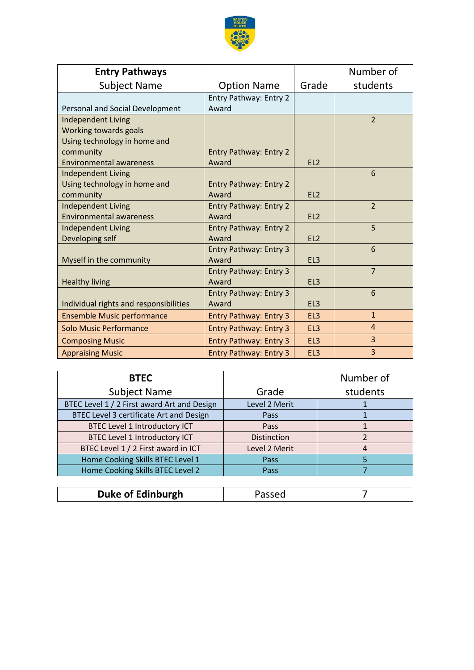

| <b>Entry Pathways</b>                  |                               |                 | Number of      |
|----------------------------------------|-------------------------------|-----------------|----------------|
| <b>Subject Name</b>                    | <b>Option Name</b>            | Grade           | students       |
|                                        | Entry Pathway: Entry 2        |                 |                |
| Personal and Social Development        | Award                         |                 |                |
| <b>Independent Living</b>              |                               |                 | $\overline{2}$ |
| Working towards goals                  |                               |                 |                |
| Using technology in home and           |                               |                 |                |
| community                              | <b>Entry Pathway: Entry 2</b> |                 |                |
| <b>Environmental awareness</b>         | Award                         | E12             |                |
| <b>Independent Living</b>              |                               |                 | 6              |
| Using technology in home and           | <b>Entry Pathway: Entry 2</b> |                 |                |
| community                              | Award                         | EL <sub>2</sub> |                |
| <b>Independent Living</b>              | <b>Entry Pathway: Entry 2</b> |                 | $\overline{2}$ |
| <b>Environmental awareness</b>         | Award                         | EL <sub>2</sub> |                |
| <b>Independent Living</b>              | <b>Entry Pathway: Entry 2</b> |                 | 5              |
| Developing self                        | Award                         | EL <sub>2</sub> |                |
|                                        | Entry Pathway: Entry 3        |                 | 6              |
| Myself in the community                | Award                         | EL <sub>3</sub> |                |
|                                        | Entry Pathway: Entry 3        |                 | $\overline{7}$ |
| <b>Healthy living</b>                  | Award                         | EL <sub>3</sub> |                |
|                                        | <b>Entry Pathway: Entry 3</b> |                 | 6              |
| Individual rights and responsibilities | Award                         | EL <sub>3</sub> |                |
| <b>Ensemble Music performance</b>      | <b>Entry Pathway: Entry 3</b> | EL <sub>3</sub> | $\mathbf{1}$   |
| <b>Solo Music Performance</b>          | <b>Entry Pathway: Entry 3</b> | EL <sub>3</sub> | $\overline{4}$ |
| <b>Composing Music</b>                 | <b>Entry Pathway: Entry 3</b> | EL3             | 3              |
| <b>Appraising Music</b>                | <b>Entry Pathway: Entry 3</b> | EL <sub>3</sub> | 3              |

|                    | Number of     |
|--------------------|---------------|
| Grade              | students      |
| Level 2 Merit      |               |
| Pass               |               |
| Pass               |               |
| <b>Distinction</b> | $\mathcal{P}$ |
| Level 2 Merit      | 4             |
| <b>Pass</b>        | 5             |
| <b>Pass</b>        |               |
|                    |               |

| <b>Duke of Edinburgh</b> | Passed |  |
|--------------------------|--------|--|
|--------------------------|--------|--|